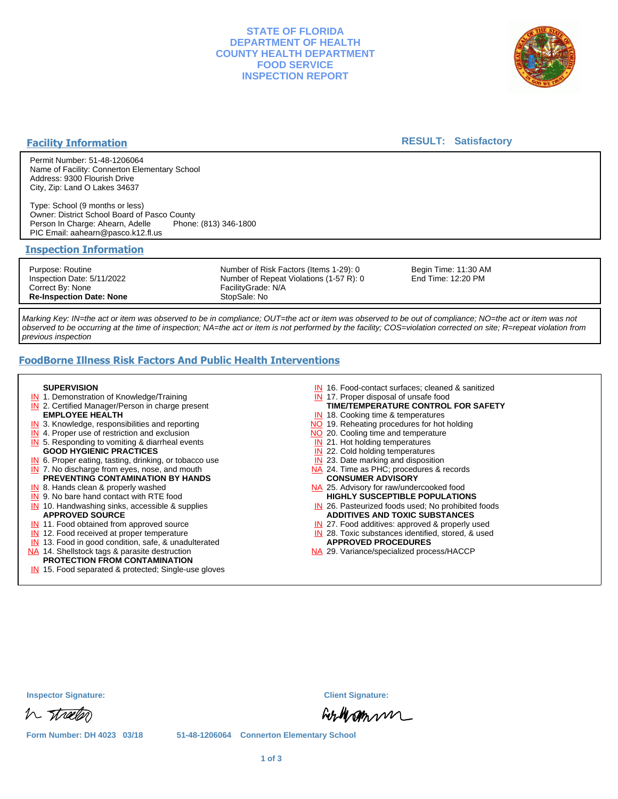# **STATE OF FLORIDA DEPARTMENT OF HEALTH COUNTY HEALTH DEPARTMENT FOOD SERVICE INSPECTION REPORT**



## **Facility Information**

### **RESULT: Satisfactory**

Permit Number: 51-48-1206064 Name of Facility: Connerton Elementary School Address: 9300 Flourish Drive City, Zip: Land O Lakes 34637

Type: School (9 months or less) Owner: District School Board of Pasco County Person In Charge: Ahearn, Adelle PIC Email: aahearn@pasco.k12.fl.us

#### **Inspection Information**

Purpose: Routine Inspection Date: 5/11/2022 Correct By: None **Re-Inspection Date: None**

Number of Risk Factors (Items 1-29): 0 Number of Repeat Violations (1-57 R): 0 FacilityGrade: N/A StopSale: No

Begin Time: 11:30 AM End Time: 12:20 PM

Marking Key: IN=the act or item was observed to be in compliance; OUT=the act or item was observed to be out of compliance; NO=the act or item was not observed to be occurring at the time of inspection; NA=the act or item is not performed by the facility; COS=violation corrected on site; R=repeat violation from previous inspection

# **FoodBorne Illness Risk Factors And Public Health Interventions**

#### **SUPERVISION**

- **IN** 1. Demonstration of Knowledge/Training
- **IN** 2. Certified Manager/Person in charge present **EMPLOYEE HEALTH**
- **IN** 3. Knowledge, responsibilities and reporting
- **IN** 4. Proper use of restriction and exclusion
- **IN** 5. Responding to vomiting & diarrheal events
- **GOOD HYGIENIC PRACTICES**
- **IN** 6. Proper eating, tasting, drinking, or tobacco use **IN** 7. No discharge from eyes, nose, and mouth
- **PREVENTING CONTAMINATION BY HANDS**
- IN 8. Hands clean & properly washed
- **IN** 9. No bare hand contact with RTE food IN 10. Handwashing sinks, accessible & supplies **APPROVED SOURCE**
- **IN** 11. Food obtained from approved source
- **IN** 12. Food received at proper temperature
- IN 13. Food in good condition, safe, & unadulterated
- NA 14. Shellstock tags & parasite destruction

# **PROTECTION FROM CONTAMINATION**

IN 15. Food separated & protected; Single-use gloves

- IN 16. Food-contact surfaces; cleaned & sanitized
- IN 17. Proper disposal of unsafe food
- IN 18. Cooking time & temperatures **TIME/TEMPERATURE CONTROL FOR SAFETY**
- NO 19. Reheating procedures for hot holding
- NO 20. Cooling time and temperature
- IN 21. Hot holding temperatures
- **IN** 22. Cold holding temperatures
- **IN** 23. Date marking and disposition
- NA 24. Time as PHC; procedures & records **CONSUMER ADVISORY**
- NA 25. Advisory for raw/undercooked food **HIGHLY SUSCEPTIBLE POPULATIONS**
- IN 26. Pasteurized foods used; No prohibited foods **ADDITIVES AND TOXIC SUBSTANCES**
- IN 27. Food additives: approved & properly used
- IN 28. Toxic substances identified, stored, & used **APPROVED PROCEDURES**
- NA 29. Variance/specialized process/HACCP

|  | <b>Inspector Signature:</b> |
|--|-----------------------------|
|--|-----------------------------|

h tracter

**Inspector Signature: Client Signature:**

Listermun

**Form Number: DH 4023 03/18 51-48-1206064 Connerton Elementary School**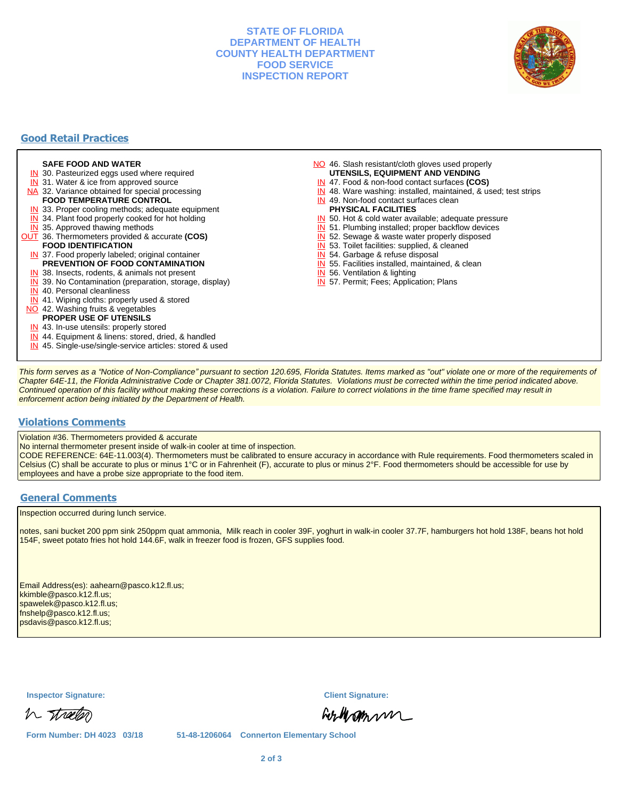## **STATE OF FLORIDA DEPARTMENT OF HEALTH COUNTY HEALTH DEPARTMENT FOOD SERVICE INSPECTION REPORT**



# **Good Retail Practices**

#### **SAFE FOOD AND WATER**

- **IN** 30. Pasteurized eggs used where required
- IN 31. Water & ice from approved source
- NA 32. Variance obtained for special processing **FOOD TEMPERATURE CONTROL**
- 
- **IN** 33. Proper cooling methods; adequate equipment
- **IN** 34. Plant food properly cooked for hot holding
- **IN** 35. Approved thawing methods
- OUT 36. Thermometers provided & accurate **(COS) FOOD IDENTIFICATION**
- IN 37. Food properly labeled; original container **PREVENTION OF FOOD CONTAMINATION**
- IN 38. Insects, rodents, & animals not present
- **IN** 39. No Contamination (preparation, storage, display)
- IN 40. Personal cleanliness
- IN 41. Wiping cloths: properly used & stored
- NO 42. Washing fruits & vegetables
- **PROPER USE OF UTENSILS**
- IN 43. In-use utensils: properly stored
- IN 44. Equipment & linens: stored, dried, & handled
- IN 45. Single-use/single-service articles: stored & used
- NO 46. Slash resistant/cloth gloves used properly **UTENSILS, EQUIPMENT AND VENDING**
- IN 47. Food & non-food contact surfaces **(COS)**
- IN 48. Ware washing: installed, maintained, & used; test strips
- IN 49. Non-food contact surfaces clean
- **PHYSICAL FACILITIES**
- IN 50. Hot & cold water available; adequate pressure
- IN 51. Plumbing installed; proper backflow devices
- IN 52. Sewage & waste water properly disposed
- IN 53. Toilet facilities: supplied, & cleaned
- IN 54. Garbage & refuse disposal
- IN 55. Facilities installed, maintained, & clean
- IN 56. Ventilation & lighting
- IN 57. Permit; Fees; Application; Plans

This form serves as a "Notice of Non-Compliance" pursuant to section 120.695, Florida Statutes. Items marked as "out" violate one or more of the requirements of Chapter 64E-11, the Florida Administrative Code or Chapter 381.0072, Florida Statutes. Violations must be corrected within the time period indicated above. Continued operation of this facility without making these corrections is a violation. Failure to correct violations in the time frame specified may result in enforcement action being initiated by the Department of Health.

#### **Violations Comments**

Violation #36. Thermometers provided & accurate

No internal thermometer present inside of walk-in cooler at time of inspection.

CODE REFERENCE: 64E-11.003(4). Thermometers must be calibrated to ensure accuracy in accordance with Rule requirements. Food thermometers scaled in Celsius (C) shall be accurate to plus or minus 1°C or in Fahrenheit (F), accurate to plus or minus 2°F. Food thermometers should be accessible for use by employees and have a probe size appropriate to the food item.

### **General Comments**

Inspection occurred during lunch service.

notes, sani bucket 200 ppm sink 250ppm quat ammonia, Milk reach in cooler 39F, yoghurt in walk-in cooler 37.7F, hamburgers hot hold 138F, beans hot hold 154F, sweet potato fries hot hold 144.6F, walk in freezer food is frozen, GFS supplies food.

Email Address(es): aahearn@pasco.k12.fl.us; kkimble@pasco.k12.fl.us; spawelek@pasco.k12.fl.us; fnshelp@pasco.k12.fl.us; psdavis@pasco.k12.fl.us;

**Inspector Signature: Client Signature:**

h streeter

Forthamm

**Form Number: DH 4023 03/18 51-48-1206064 Connerton Elementary School**